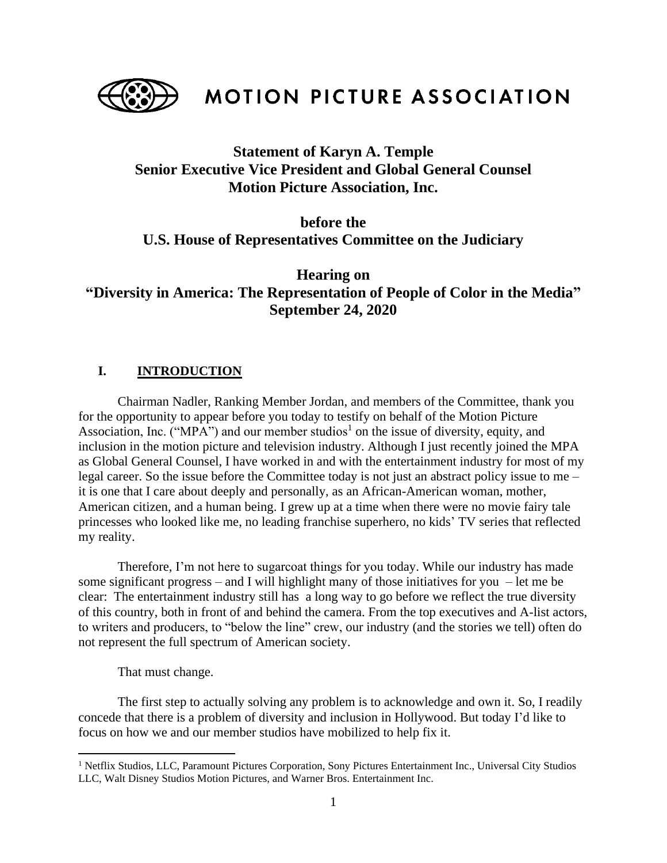

MOTION PICTURE ASSOCIATION

# **Statement of Karyn A. Temple Senior Executive Vice President and Global General Counsel Motion Picture Association, Inc.**

## **before the U.S. House of Representatives Committee on the Judiciary**

**Hearing on "Diversity in America: The Representation of People of Color in the Media" September 24, 2020**

### **I. INTRODUCTION**

Chairman Nadler, Ranking Member Jordan, and members of the Committee, thank you for the opportunity to appear before you today to testify on behalf of the Motion Picture Association, Inc. ("MPA") and our member studios<sup>1</sup> on the issue of diversity, equity, and inclusion in the motion picture and television industry. Although I just recently joined the MPA as Global General Counsel, I have worked in and with the entertainment industry for most of my legal career. So the issue before the Committee today is not just an abstract policy issue to me – it is one that I care about deeply and personally, as an African-American woman, mother, American citizen, and a human being. I grew up at a time when there were no movie fairy tale princesses who looked like me, no leading franchise superhero, no kids' TV series that reflected my reality.

Therefore, I'm not here to sugarcoat things for you today. While our industry has made some significant progress – and I will highlight many of those initiatives for you – let me be clear: The entertainment industry still has a long way to go before we reflect the true diversity of this country, both in front of and behind the camera. From the top executives and A-list actors, to writers and producers, to "below the line" crew, our industry (and the stories we tell) often do not represent the full spectrum of American society.

That must change.

The first step to actually solving any problem is to acknowledge and own it. So, I readily concede that there is a problem of diversity and inclusion in Hollywood. But today I'd like to focus on how we and our member studios have mobilized to help fix it.

<sup>&</sup>lt;sup>1</sup> Netflix Studios, LLC, Paramount Pictures Corporation, Sony Pictures Entertainment Inc., Universal City Studios LLC, Walt Disney Studios Motion Pictures, and Warner Bros. Entertainment Inc.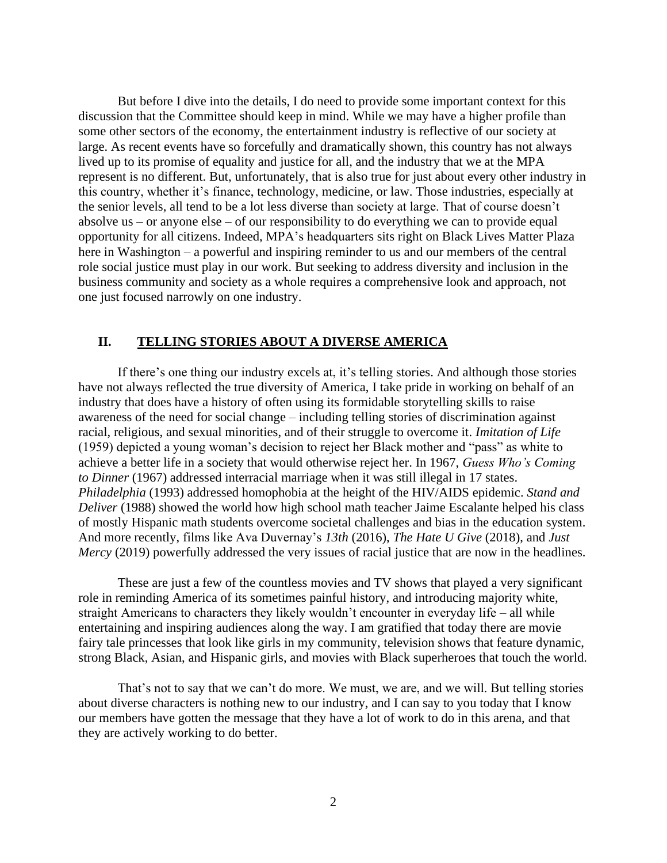But before I dive into the details, I do need to provide some important context for this discussion that the Committee should keep in mind. While we may have a higher profile than some other sectors of the economy, the entertainment industry is reflective of our society at large. As recent events have so forcefully and dramatically shown, this country has not always lived up to its promise of equality and justice for all, and the industry that we at the MPA represent is no different. But, unfortunately, that is also true for just about every other industry in this country, whether it's finance, technology, medicine, or law. Those industries, especially at the senior levels, all tend to be a lot less diverse than society at large. That of course doesn't absolve us – or anyone else – of our responsibility to do everything we can to provide equal opportunity for all citizens. Indeed, MPA's headquarters sits right on Black Lives Matter Plaza here in Washington – a powerful and inspiring reminder to us and our members of the central role social justice must play in our work. But seeking to address diversity and inclusion in the business community and society as a whole requires a comprehensive look and approach, not one just focused narrowly on one industry.

#### **II. TELLING STORIES ABOUT A DIVERSE AMERICA**

If there's one thing our industry excels at, it's telling stories. And although those stories have not always reflected the true diversity of America, I take pride in working on behalf of an industry that does have a history of often using its formidable storytelling skills to raise awareness of the need for social change – including telling stories of discrimination against racial, religious, and sexual minorities, and of their struggle to overcome it. *Imitation of Life*  (1959) depicted a young woman's decision to reject her Black mother and "pass" as white to achieve a better life in a society that would otherwise reject her. In 1967, *Guess Who's Coming to Dinner* (1967) addressed interracial marriage when it was still illegal in 17 states. *Philadelphia* (1993) addressed homophobia at the height of the HIV/AIDS epidemic. *Stand and Deliver* (1988) showed the world how high school math teacher Jaime Escalante helped his class of mostly Hispanic math students overcome societal challenges and bias in the education system. And more recently, films like Ava Duvernay's *13th* (2016), *The Hate U Give* (2018), and *Just Mercy* (2019) powerfully addressed the very issues of racial justice that are now in the headlines.

These are just a few of the countless movies and TV shows that played a very significant role in reminding America of its sometimes painful history, and introducing majority white, straight Americans to characters they likely wouldn't encounter in everyday life – all while entertaining and inspiring audiences along the way. I am gratified that today there are movie fairy tale princesses that look like girls in my community, television shows that feature dynamic, strong Black, Asian, and Hispanic girls, and movies with Black superheroes that touch the world.

That's not to say that we can't do more. We must, we are, and we will. But telling stories about diverse characters is nothing new to our industry, and I can say to you today that I know our members have gotten the message that they have a lot of work to do in this arena, and that they are actively working to do better.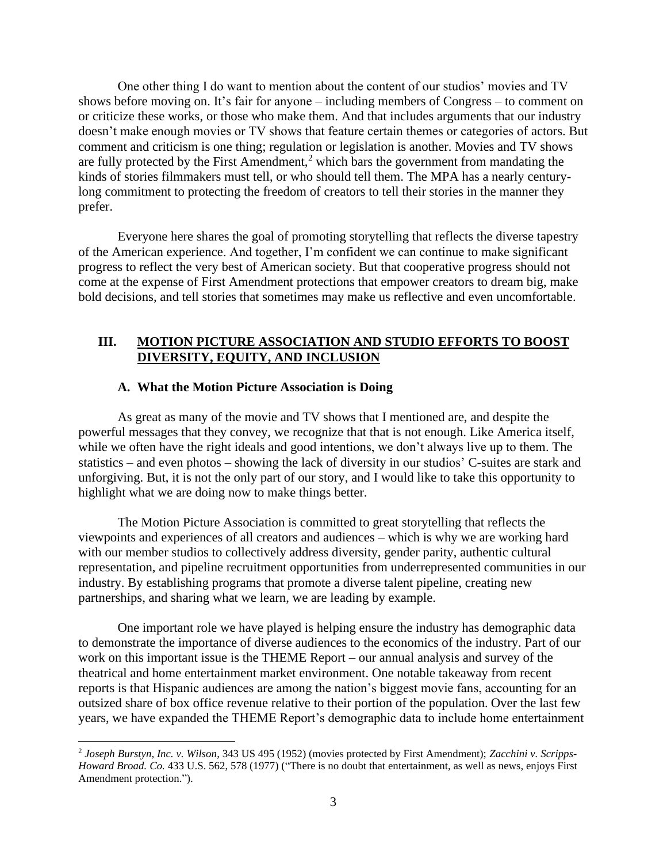One other thing I do want to mention about the content of our studios' movies and TV shows before moving on. It's fair for anyone – including members of Congress – to comment on or criticize these works, or those who make them. And that includes arguments that our industry doesn't make enough movies or TV shows that feature certain themes or categories of actors. But comment and criticism is one thing; regulation or legislation is another. Movies and TV shows are fully protected by the First Amendment, $<sup>2</sup>$  which bars the government from mandating the</sup> kinds of stories filmmakers must tell, or who should tell them. The MPA has a nearly centurylong commitment to protecting the freedom of creators to tell their stories in the manner they prefer.

Everyone here shares the goal of promoting storytelling that reflects the diverse tapestry of the American experience. And together, I'm confident we can continue to make significant progress to reflect the very best of American society. But that cooperative progress should not come at the expense of First Amendment protections that empower creators to dream big, make bold decisions, and tell stories that sometimes may make us reflective and even uncomfortable.

#### **III. MOTION PICTURE ASSOCIATION AND STUDIO EFFORTS TO BOOST DIVERSITY, EQUITY, AND INCLUSION**

#### **A. What the Motion Picture Association is Doing**

As great as many of the movie and TV shows that I mentioned are, and despite the powerful messages that they convey, we recognize that that is not enough. Like America itself, while we often have the right ideals and good intentions, we don't always live up to them. The statistics – and even photos – showing the lack of diversity in our studios' C-suites are stark and unforgiving. But, it is not the only part of our story, and I would like to take this opportunity to highlight what we are doing now to make things better.

The Motion Picture Association is committed to great storytelling that reflects the viewpoints and experiences of all creators and audiences – which is why we are working hard with our member studios to collectively address diversity, gender parity, authentic cultural representation, and pipeline recruitment opportunities from underrepresented communities in our industry. By establishing programs that promote a diverse talent pipeline, creating new partnerships, and sharing what we learn, we are leading by example.

One important role we have played is helping ensure the industry has demographic data to demonstrate the importance of diverse audiences to the economics of the industry. Part of our work on this important issue is the THEME Report – our annual analysis and survey of the theatrical and home entertainment market environment. One notable takeaway from recent reports is that Hispanic audiences are among the nation's biggest movie fans, accounting for an outsized share of box office revenue relative to their portion of the population. Over the last few years, we have expanded the THEME Report's demographic data to include home entertainment

<sup>2</sup> *Joseph Burstyn, Inc. v. Wilson*, 343 US 495 (1952) (movies protected by First Amendment); *Zacchini v. Scripps-Howard Broad. Co.* 433 U.S. 562, 578 (1977) ("There is no doubt that entertainment, as well as news, enjoys First Amendment protection.").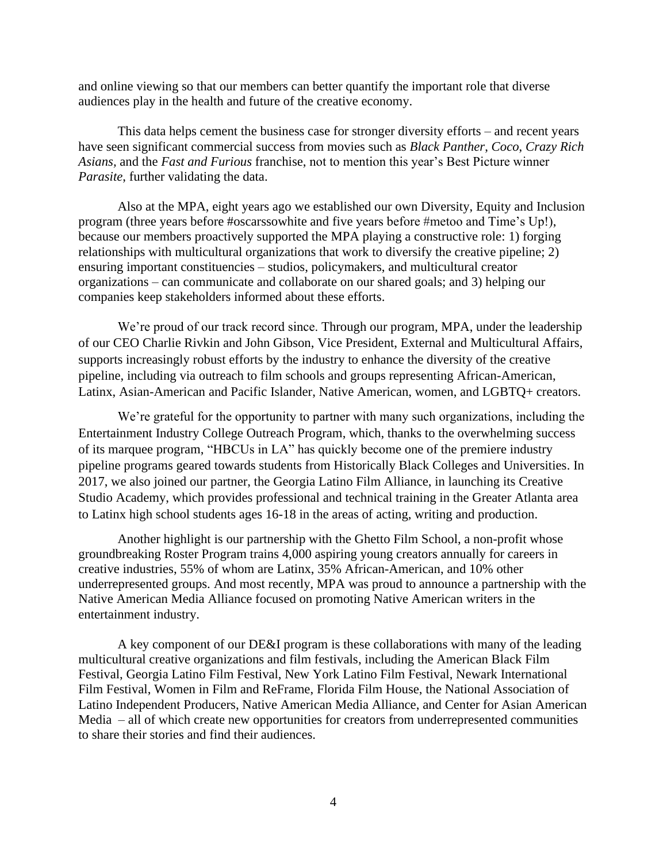and online viewing so that our members can better quantify the important role that diverse audiences play in the health and future of the creative economy.

This data helps cement the business case for stronger diversity efforts – and recent years have seen significant commercial success from movies such as *Black Panther*, *Coco*, *Crazy Rich Asians,* and the *Fast and Furious* franchise, not to mention this year's Best Picture winner *Parasite*, further validating the data.

Also at the MPA, eight years ago we established our own Diversity, Equity and Inclusion program (three years before #oscarssowhite and five years before #metoo and Time's Up!), because our members proactively supported the MPA playing a constructive role: 1) forging relationships with multicultural organizations that work to diversify the creative pipeline; 2) ensuring important constituencies – studios, policymakers, and multicultural creator organizations – can communicate and collaborate on our shared goals; and 3) helping our companies keep stakeholders informed about these efforts.

We're proud of our track record since. Through our program, MPA, under the leadership of our CEO Charlie Rivkin and John Gibson, Vice President, External and Multicultural Affairs, supports increasingly robust efforts by the industry to enhance the diversity of the creative pipeline, including via outreach to film schools and groups representing African-American, Latinx, Asian-American and Pacific Islander, Native American, women, and LGBTQ+ creators.

We're grateful for the opportunity to partner with many such organizations, including the Entertainment Industry College Outreach Program, which, thanks to the overwhelming success of its marquee program, "HBCUs in LA" has quickly become one of the premiere industry pipeline programs geared towards students from Historically Black Colleges and Universities. In 2017, we also joined our partner, the Georgia Latino Film Alliance, in launching its Creative Studio Academy, which provides professional and technical training in the Greater Atlanta area to Latinx high school students ages 16-18 in the areas of acting, writing and production.

Another highlight is our partnership with the Ghetto Film School, a non-profit whose groundbreaking Roster Program trains 4,000 aspiring young creators annually for careers in creative industries, 55% of whom are Latinx, 35% African-American, and 10% other underrepresented groups. And most recently, MPA was proud to announce a partnership with the Native American Media Alliance focused on promoting Native American writers in the entertainment industry.

A key component of our DE&I program is these collaborations with many of the leading multicultural creative organizations and film festivals, including the American Black Film Festival, Georgia Latino Film Festival, New York Latino Film Festival, Newark International Film Festival, Women in Film and ReFrame, Florida Film House, the National Association of Latino Independent Producers, Native American Media Alliance, and Center for Asian American Media – all of which create new opportunities for creators from underrepresented communities to share their stories and find their audiences.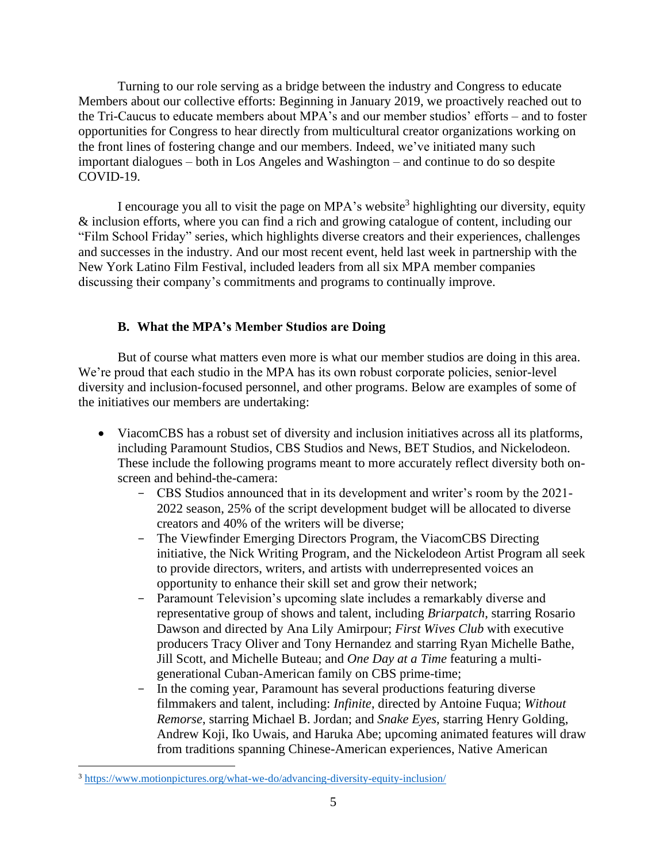Turning to our role serving as a bridge between the industry and Congress to educate Members about our collective efforts: Beginning in January 2019, we proactively reached out to the Tri-Caucus to educate members about MPA's and our member studios' efforts – and to foster opportunities for Congress to hear directly from multicultural creator organizations working on the front lines of fostering change and our members. Indeed, we've initiated many such important dialogues – both in Los Angeles and Washington – and continue to do so despite COVID-19.

I encourage you all to visit the page on MPA's website<sup>3</sup> highlighting our diversity, equity & inclusion efforts, where you can find a rich and growing catalogue of content, including our "Film School Friday" series, which highlights diverse creators and their experiences, challenges and successes in the industry. And our most recent event, held last week in partnership with the New York Latino Film Festival, included leaders from all six MPA member companies discussing their company's commitments and programs to continually improve.

## **B. What the MPA's Member Studios are Doing**

But of course what matters even more is what our member studios are doing in this area. We're proud that each studio in the MPA has its own robust corporate policies, senior-level diversity and inclusion-focused personnel, and other programs. Below are examples of some of the initiatives our members are undertaking:

- ViacomCBS has a robust set of diversity and inclusion initiatives across all its platforms, including Paramount Studios, CBS Studios and News, BET Studios, and Nickelodeon. These include the following programs meant to more accurately reflect diversity both onscreen and behind-the-camera:
	- CBS Studios announced that in its development and writer's room by the 2021- 2022 season, 25% of the script development budget will be allocated to diverse creators and 40% of the writers will be diverse;
	- The Viewfinder Emerging Directors Program, the ViacomCBS Directing initiative, the Nick Writing Program, and the Nickelodeon Artist Program all seek to provide directors, writers, and artists with underrepresented voices an opportunity to enhance their skill set and grow their network;
	- Paramount Television's upcoming slate includes a remarkably diverse and representative group of shows and talent, including *Briarpatch*, starring Rosario Dawson and directed by Ana Lily Amirpour; *First Wives Club* with executive producers Tracy Oliver and Tony Hernandez and starring Ryan Michelle Bathe, Jill Scott, and Michelle Buteau; and *One Day at a Time* featuring a multigenerational Cuban-American family on CBS prime-time;
	- In the coming year, Paramount has several productions featuring diverse filmmakers and talent, including: *Infinite*, directed by Antoine Fuqua; *Without Remorse*, starring Michael B. Jordan; and *Snake Eyes*, starring Henry Golding, Andrew Koji, Iko Uwais, and Haruka Abe; upcoming animated features will draw from traditions spanning Chinese-American experiences, Native American

<sup>3</sup> <https://www.motionpictures.org/what-we-do/advancing-diversity-equity-inclusion/>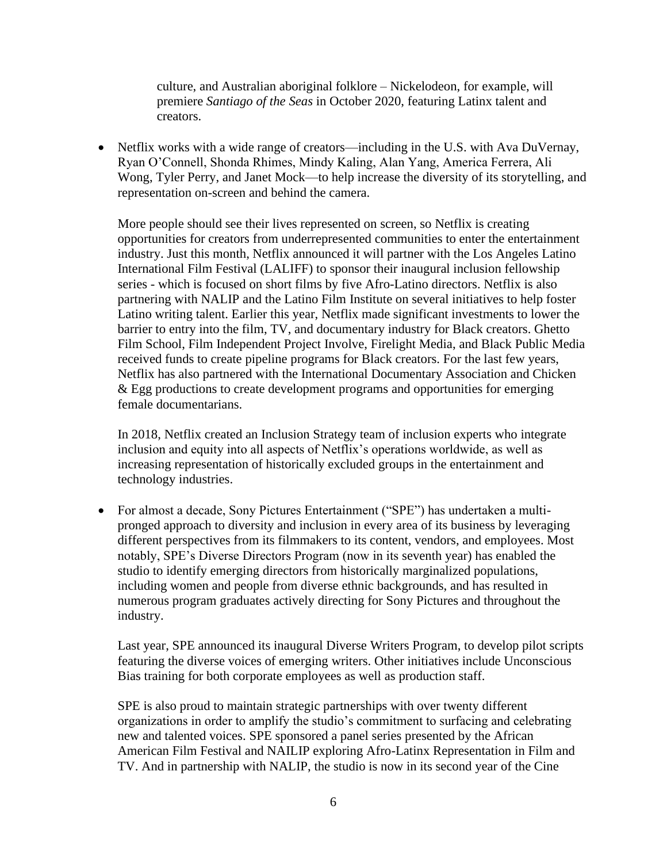culture, and Australian aboriginal folklore – Nickelodeon, for example, will premiere *Santiago of the Seas* in October 2020, featuring Latinx talent and creators.

• Netflix works with a wide range of creators—including in the U.S. with Ava DuVernay, Ryan O'Connell, Shonda Rhimes, Mindy Kaling, Alan Yang, America Ferrera, Ali Wong, Tyler Perry, and Janet Mock—to help increase the diversity of its storytelling, and representation on-screen and behind the camera.

More people should see their lives represented on screen, so Netflix is creating opportunities for creators from underrepresented communities to enter the entertainment industry. Just this month, Netflix announced it will partner with the Los Angeles Latino International Film Festival (LALIFF) to sponsor their inaugural inclusion fellowship series - which is focused on short films by five Afro-Latino directors. Netflix is also partnering with NALIP and the Latino Film Institute on several initiatives to help foster Latino writing talent. Earlier this year, Netflix made significant investments to lower the barrier to entry into the film, TV, and documentary industry for Black creators. Ghetto Film School, Film Independent Project Involve, Firelight Media, and Black Public Media received funds to create pipeline programs for Black creators. For the last few years, Netflix has also partnered with the International Documentary Association and Chicken & Egg productions to create development programs and opportunities for emerging female documentarians.

In 2018, Netflix created an Inclusion Strategy team of inclusion experts who integrate inclusion and equity into all aspects of Netflix's operations worldwide, as well as increasing representation of historically excluded groups in the entertainment and technology industries.

• For almost a decade, Sony Pictures Entertainment ("SPE") has undertaken a multipronged approach to diversity and inclusion in every area of its business by leveraging different perspectives from its filmmakers to its content, vendors, and employees. Most notably, SPE's Diverse Directors Program (now in its seventh year) has enabled the studio to identify emerging directors from historically marginalized populations, including women and people from diverse ethnic backgrounds, and has resulted in numerous program graduates actively directing for Sony Pictures and throughout the industry.

Last year, SPE announced its inaugural Diverse Writers Program, to develop pilot scripts featuring the diverse voices of emerging writers. Other initiatives include Unconscious Bias training for both corporate employees as well as production staff.

SPE is also proud to maintain strategic partnerships with over twenty different organizations in order to amplify the studio's commitment to surfacing and celebrating new and talented voices. SPE sponsored a panel series presented by the African American Film Festival and NAILIP exploring Afro-Latinx Representation in Film and TV. And in partnership with NALIP, the studio is now in its second year of the Cine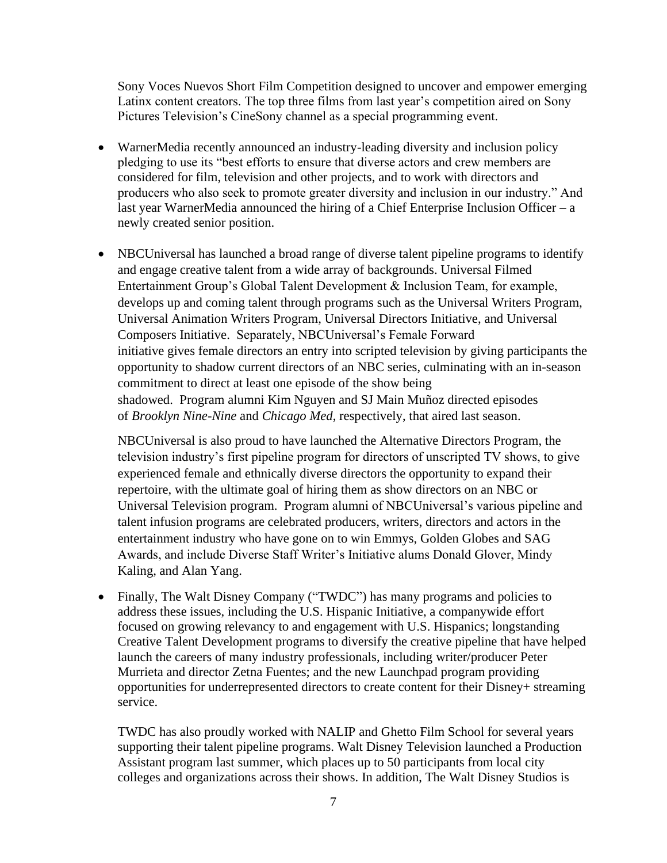Sony Voces Nuevos Short Film Competition designed to uncover and empower emerging Latinx content creators. The top three films from last year's competition aired on Sony Pictures Television's CineSony channel as a special programming event.

- WarnerMedia recently announced an industry-leading diversity and inclusion policy pledging to use its "best efforts to ensure that diverse actors and crew members are considered for film, television and other projects, and to work with directors and producers who also seek to promote greater diversity and inclusion in our industry." And last year WarnerMedia announced the hiring of a Chief Enterprise Inclusion Officer – a newly created senior position.
- NBCUniversal has launched a broad range of diverse talent pipeline programs to identify and engage creative talent from a wide array of backgrounds. Universal Filmed Entertainment Group's Global Talent Development & Inclusion Team, for example, develops up and coming talent through programs such as the Universal Writers Program, Universal Animation Writers Program, Universal Directors Initiative, and Universal Composers Initiative. Separately, NBCUniversal's Female Forward initiative gives female directors an entry into scripted television by giving participants the opportunity to shadow current directors of an NBC series, culminating with an in-season commitment to direct at least one episode of the show being shadowed. Program alumni Kim Nguyen and SJ Main Muñoz directed episodes of *Brooklyn Nine-Nine* and *Chicago Med*, respectively, that aired last season.

NBCUniversal is also proud to have launched the Alternative Directors Program, the television industry's first pipeline program for directors of unscripted TV shows, to give experienced female and ethnically diverse directors the opportunity to expand their repertoire, with the ultimate goal of hiring them as show directors on an NBC or Universal Television program. Program alumni of NBCUniversal's various pipeline and talent infusion programs are celebrated producers, writers, directors and actors in the entertainment industry who have gone on to win Emmys, Golden Globes and SAG Awards, and include Diverse Staff Writer's Initiative alums Donald Glover, Mindy Kaling, and Alan Yang.

• Finally, The Walt Disney Company ("TWDC") has many programs and policies to address these issues, including the U.S. Hispanic Initiative, a companywide effort focused on growing relevancy to and engagement with U.S. Hispanics; longstanding Creative Talent Development programs to diversify the creative pipeline that have helped launch the careers of many industry professionals, including writer/producer Peter Murrieta and director Zetna Fuentes; and the new Launchpad program providing opportunities for underrepresented directors to create content for their Disney+ streaming service.

TWDC has also proudly worked with NALIP and Ghetto Film School for several years supporting their talent pipeline programs. Walt Disney Television launched a Production Assistant program last summer, which places up to 50 participants from local city colleges and organizations across their shows. In addition, The Walt Disney Studios is